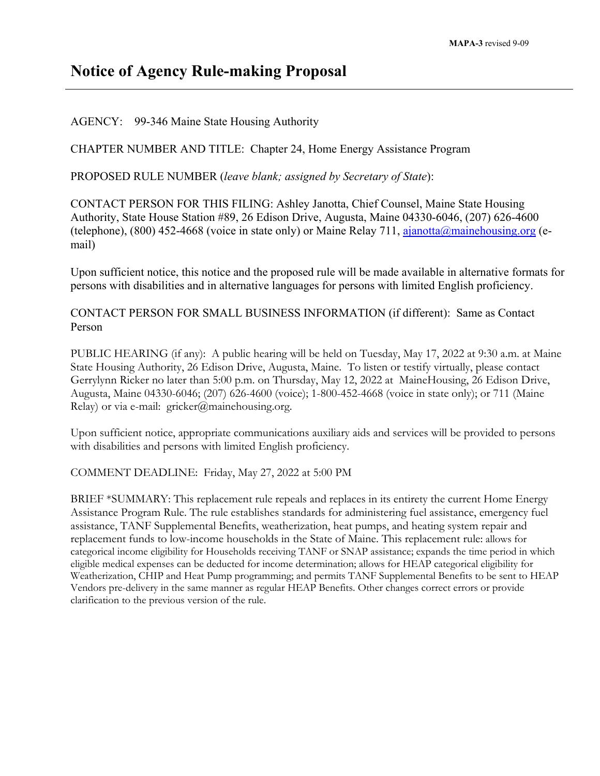## **Notice of Agency Rule-making Proposal**

AGENCY: 99-346 Maine State Housing Authority

CHAPTER NUMBER AND TITLE: Chapter 24, Home Energy Assistance Program

PROPOSED RULE NUMBER (*leave blank; assigned by Secretary of State*):

CONTACT PERSON FOR THIS FILING: Ashley Janotta, Chief Counsel, Maine State Housing Authority, State House Station #89, 26 Edison Drive, Augusta, Maine 04330-6046, (207) 626-4600 (telephone), (800) 452-4668 (voice in state only) or Maine Relay 711,  $\frac{1}{\text{ajanotta}(a)}$  mainehousing.org (email)

Upon sufficient notice, this notice and the proposed rule will be made available in alternative formats for persons with disabilities and in alternative languages for persons with limited English proficiency.

CONTACT PERSON FOR SMALL BUSINESS INFORMATION (if different): Same as Contact Person

PUBLIC HEARING (if any): A public hearing will be held on Tuesday, May 17, 2022 at 9:30 a.m. at Maine State Housing Authority, 26 Edison Drive, Augusta, Maine. To listen or testify virtually, please contact Gerrylynn Ricker no later than 5:00 p.m. on Thursday, May 12, 2022 at MaineHousing, 26 Edison Drive, Augusta, Maine 04330-6046; (207) 626-4600 (voice); 1-800-452-4668 (voice in state only); or 711 (Maine Relay) or via e-mail:  $gricker@mainehousing.org$ .

Upon sufficient notice, appropriate communications auxiliary aids and services will be provided to persons with disabilities and persons with limited English proficiency.

COMMENT DEADLINE: Friday, May 27, 2022 at 5:00 PM

BRIEF \*SUMMARY: This replacement rule repeals and replaces in its entirety the current Home Energy Assistance Program Rule. The rule establishes standards for administering fuel assistance, emergency fuel assistance, TANF Supplemental Benefits, weatherization, heat pumps, and heating system repair and replacement funds to low-income households in the State of Maine. This replacement rule: allows for categorical income eligibility for Households receiving TANF or SNAP assistance; expands the time period in which eligible medical expenses can be deducted for income determination; allows for HEAP categorical eligibility for Weatherization, CHIP and Heat Pump programming; and permits TANF Supplemental Benefits to be sent to HEAP Vendors pre-delivery in the same manner as regular HEAP Benefits. Other changes correct errors or provide clarification to the previous version of the rule.